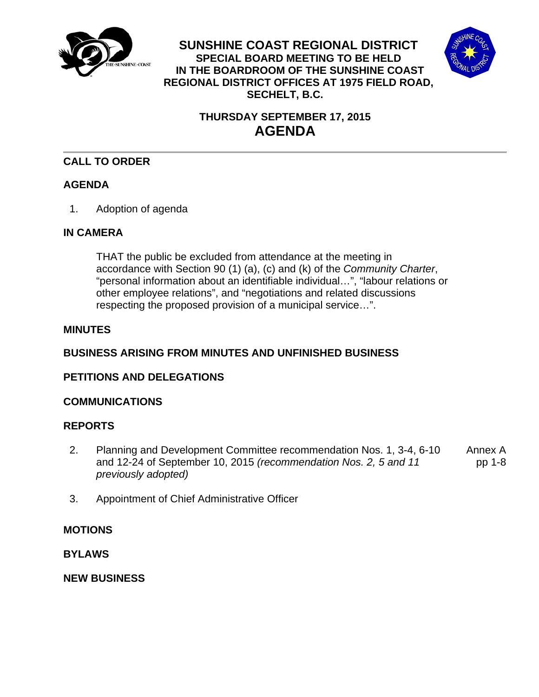

**SUNSHINE COAST REGIONAL DISTRICT SPECIAL BOARD MEETING TO BE HELD IN THE BOARDROOM OF THE SUNSHINE COAST REGIONAL DISTRICT OFFICES AT 1975 FIELD ROAD, SECHELT, B.C.** 



# **THURSDAY SEPTEMBER 17, 2015 AGENDA**

## **CALL TO ORDER**

## **AGENDA**

1. Adoption of agenda

## **IN CAMERA**

 THAT the public be excluded from attendance at the meeting in accordance with Section 90 (1) (a), (c) and (k) of the *Community Charter*, "personal information about an identifiable individual…", "labour relations or other employee relations", and "negotiations and related discussions respecting the proposed provision of a municipal service…".

## **MINUTES**

## **BUSINESS ARISING FROM MINUTES AND UNFINISHED BUSINESS**

## **PETITIONS AND DELEGATIONS**

### **COMMUNICATIONS**

## **REPORTS**

- [2. Planning and Development Committee recommendation Nos. 1, 3-4, 6-10](#page-1-0)  and 12-24 of September 10, 2015 *(recommendation Nos. 2, 5 and 11 previously adopted)*  Annex A pp 1-8
- 3. Appointment of Chief Administrative Officer

### **MOTIONS**

**BYLAWS** 

**NEW BUSINESS**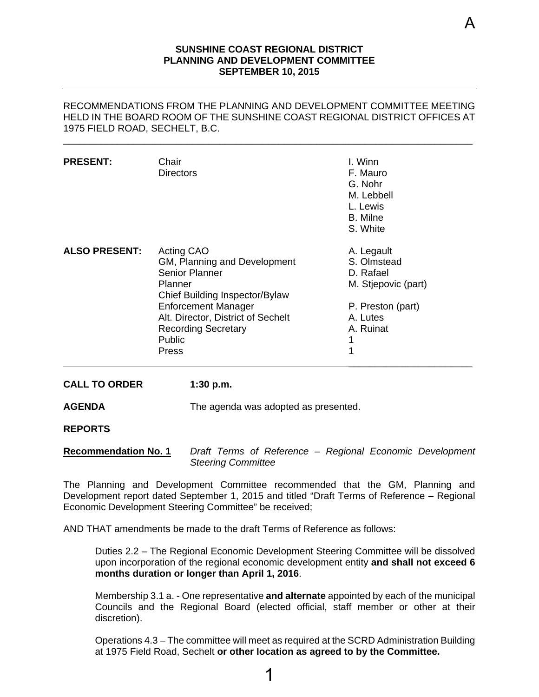#### **SUNSHINE COAST REGIONAL DISTRICT PLANNING AND DEVELOPMENT COMMITTEE SEPTEMBER 10, 2015**

<span id="page-1-0"></span>RECOMMENDATIONS FROM THE PLANNING AND DEVELOPMENT COMMITTEE MEETING HELD IN THE BOARD ROOM OF THE SUNSHINE COAST REGIONAL DISTRICT OFFICES AT 1975 FIELD ROAD, SECHELT, B.C.

\_\_\_\_\_\_\_\_\_\_\_\_\_\_\_\_\_\_\_\_\_\_\_\_\_\_\_\_\_\_\_\_\_\_\_\_\_\_\_\_\_\_\_\_\_\_\_\_\_\_\_\_\_\_\_\_\_\_\_\_\_\_\_\_\_\_\_\_\_\_\_\_\_\_\_\_

| <b>PRESENT:</b>      | Chair<br><b>Directors</b>                                                                                                                                                                                                                           | I. Winn<br>F. Mauro<br>G. Nohr<br>M. Lebbell<br>L. Lewis<br><b>B.</b> Milne<br>S. White                               |
|----------------------|-----------------------------------------------------------------------------------------------------------------------------------------------------------------------------------------------------------------------------------------------------|-----------------------------------------------------------------------------------------------------------------------|
| <b>ALSO PRESENT:</b> | Acting CAO<br>GM, Planning and Development<br><b>Senior Planner</b><br>Planner<br>Chief Building Inspector/Bylaw<br><b>Enforcement Manager</b><br>Alt. Director, District of Sechelt<br><b>Recording Secretary</b><br><b>Public</b><br><b>Press</b> | A. Legault<br>S. Olmstead<br>D. Rafael<br>M. Stjepovic (part)<br>P. Preston (part)<br>A. Lutes<br>A. Ruinat<br>1<br>1 |

**CALL TO ORDER 1:30 p.m.**

**AGENDA** The agenda was adopted as presented.

**REPORTS** 

**Recommendation No. 1** *Draft Terms of Reference – Regional Economic Development Steering Committee* 

The Planning and Development Committee recommended that the GM, Planning and Development report dated September 1, 2015 and titled "Draft Terms of Reference – Regional Economic Development Steering Committee" be received;

AND THAT amendments be made to the draft Terms of Reference as follows:

Duties 2.2 – The Regional Economic Development Steering Committee will be dissolved upon incorporation of the regional economic development entity **and shall not exceed 6 months duration or longer than April 1, 2016**.

Membership 3.1 a. - One representative **and alternate** appointed by each of the municipal Councils and the Regional Board (elected official, staff member or other at their discretion).

Operations 4.3 – The committee will meet as required at the SCRD Administration Building at 1975 Field Road, Sechelt **or other location as agreed to by the Committee.**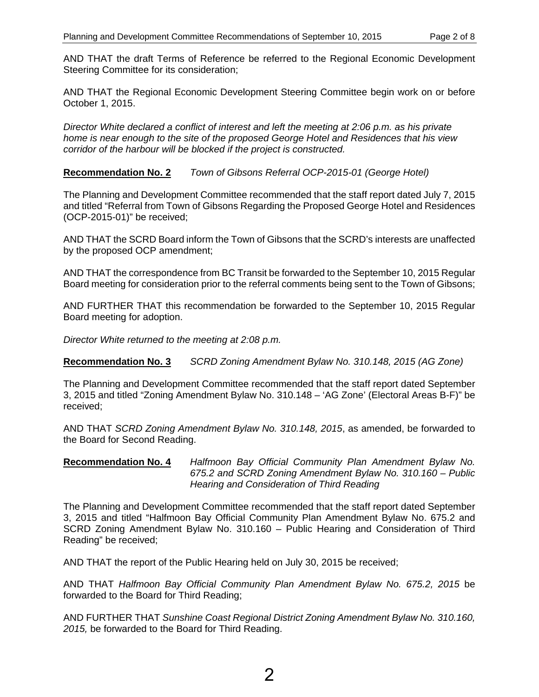AND THAT the draft Terms of Reference be referred to the Regional Economic Development Steering Committee for its consideration;

AND THAT the Regional Economic Development Steering Committee begin work on or before October 1, 2015.

*Director White declared a conflict of interest and left the meeting at 2:06 p.m. as his private home is near enough to the site of the proposed George Hotel and Residences that his view corridor of the harbour will be blocked if the project is constructed.* 

#### **Recommendation No. 2** *Town of Gibsons Referral OCP-2015-01 (George Hotel)*

The Planning and Development Committee recommended that the staff report dated July 7, 2015 and titled "Referral from Town of Gibsons Regarding the Proposed George Hotel and Residences (OCP-2015-01)" be received;

AND THAT the SCRD Board inform the Town of Gibsons that the SCRD's interests are unaffected by the proposed OCP amendment;

AND THAT the correspondence from BC Transit be forwarded to the September 10, 2015 Regular Board meeting for consideration prior to the referral comments being sent to the Town of Gibsons;

AND FURTHER THAT this recommendation be forwarded to the September 10, 2015 Regular Board meeting for adoption.

*Director White returned to the meeting at 2:08 p.m.* 

**Recommendation No. 3** *SCRD Zoning Amendment Bylaw No. 310.148, 2015 (AG Zone)* 

The Planning and Development Committee recommended that the staff report dated September 3, 2015 and titled "Zoning Amendment Bylaw No. 310.148 – 'AG Zone' (Electoral Areas B-F)" be received;

AND THAT *SCRD Zoning Amendment Bylaw No. 310.148, 2015*, as amended, be forwarded to the Board for Second Reading.

#### **Recommendation No. 4** *Halfmoon Bay Official Community Plan Amendment Bylaw No. 675.2 and SCRD Zoning Amendment Bylaw No. 310.160 – Public Hearing and Consideration of Third Reading*

The Planning and Development Committee recommended that the staff report dated September 3, 2015 and titled "Halfmoon Bay Official Community Plan Amendment Bylaw No. 675.2 and SCRD Zoning Amendment Bylaw No. 310.160 – Public Hearing and Consideration of Third Reading" be received;

AND THAT the report of the Public Hearing held on July 30, 2015 be received;

AND THAT *Halfmoon Bay Official Community Plan Amendment Bylaw No. 675.2, 2015* be forwarded to the Board for Third Reading;

AND FURTHER THAT *Sunshine Coast Regional District Zoning Amendment Bylaw No. 310.160, 2015,* be forwarded to the Board for Third Reading.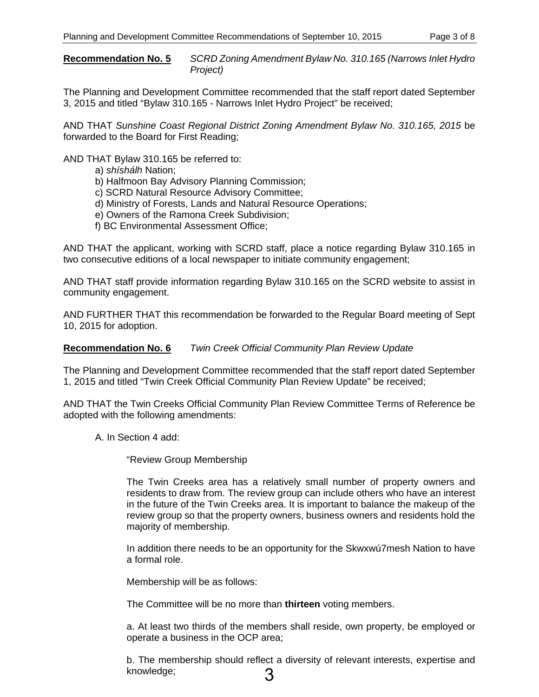**Recommendation No. 5** *SCRD Zoning Amendment Bylaw No. 310.165 (Narrows Inlet Hydro Project)*

The Planning and Development Committee recommended that the staff report dated September 3, 2015 and titled "Bylaw 310.165 - Narrows Inlet Hydro Project" be received;

AND THAT *Sunshine Coast Regional District Zoning Amendment Bylaw No. 310.165, 2015* be forwarded to the Board for First Reading;

AND THAT Bylaw 310.165 be referred to:

- a) *shíshálh* Nation;
- b) Halfmoon Bay Advisory Planning Commission;
- c) SCRD Natural Resource Advisory Committee;
- d) Ministry of Forests, Lands and Natural Resource Operations;
- e) Owners of the Ramona Creek Subdivision;
- f) BC Environmental Assessment Office;

AND THAT the applicant, working with SCRD staff, place a notice regarding Bylaw 310.165 in two consecutive editions of a local newspaper to initiate community engagement;

AND THAT staff provide information regarding Bylaw 310.165 on the SCRD website to assist in community engagement.

AND FURTHER THAT this recommendation be forwarded to the Regular Board meeting of Sept 10, 2015 for adoption.

#### **Recommendation No. 6** *Twin Creek Official Community Plan Review Update*

The Planning and Development Committee recommended that the staff report dated September 1, 2015 and titled "Twin Creek Official Community Plan Review Update" be received;

AND THAT the Twin Creeks Official Community Plan Review Committee Terms of Reference be adopted with the following amendments:

A. In Section 4 add:

"Review Group Membership

The Twin Creeks area has a relatively small number of property owners and residents to draw from. The review group can include others who have an interest in the future of the Twin Creeks area. It is important to balance the makeup of the review group so that the property owners, business owners and residents hold the majority of membership.

In addition there needs to be an opportunity for the Skwxwú7mesh Nation to have a formal role.

Membership will be as follows:

The Committee will be no more than **thirteen** voting members.

a. At least two thirds of the members shall reside, own property, be employed or operate a business in the OCP area;

b. The membership should reflect a diversity of relevant interests, expertise and knowledge; 3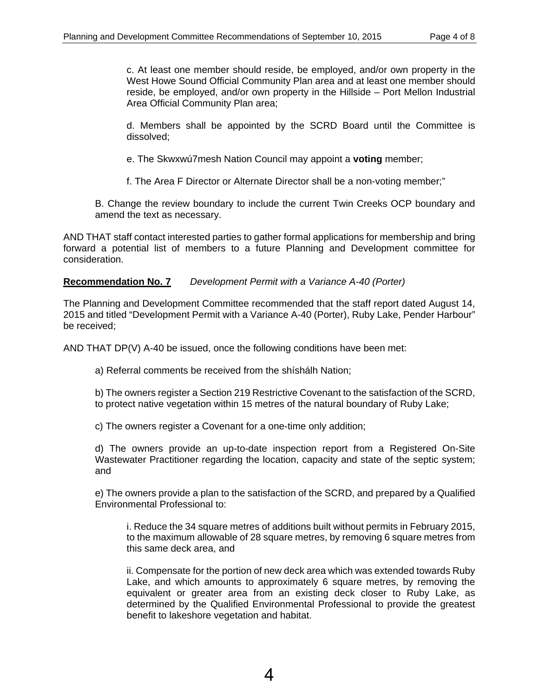c. At least one member should reside, be employed, and/or own property in the West Howe Sound Official Community Plan area and at least one member should reside, be employed, and/or own property in the Hillside – Port Mellon Industrial Area Official Community Plan area;

d. Members shall be appointed by the SCRD Board until the Committee is dissolved;

e. The Skwxwú7mesh Nation Council may appoint a **voting** member;

f. The Area F Director or Alternate Director shall be a non-voting member;"

B. Change the review boundary to include the current Twin Creeks OCP boundary and amend the text as necessary.

AND THAT staff contact interested parties to gather formal applications for membership and bring forward a potential list of members to a future Planning and Development committee for consideration.

**Recommendation No. 7** *Development Permit with a Variance A-40 (Porter)* 

The Planning and Development Committee recommended that the staff report dated August 14, 2015 and titled "Development Permit with a Variance A-40 (Porter), Ruby Lake, Pender Harbour" be received;

AND THAT DP(V) A-40 be issued, once the following conditions have been met:

a) Referral comments be received from the shíshálh Nation;

b) The owners register a Section 219 Restrictive Covenant to the satisfaction of the SCRD, to protect native vegetation within 15 metres of the natural boundary of Ruby Lake;

c) The owners register a Covenant for a one-time only addition;

d) The owners provide an up-to-date inspection report from a Registered On-Site Wastewater Practitioner regarding the location, capacity and state of the septic system; and

e) The owners provide a plan to the satisfaction of the SCRD, and prepared by a Qualified Environmental Professional to:

i. Reduce the 34 square metres of additions built without permits in February 2015, to the maximum allowable of 28 square metres, by removing 6 square metres from this same deck area, and

ii. Compensate for the portion of new deck area which was extended towards Ruby Lake, and which amounts to approximately 6 square metres, by removing the equivalent or greater area from an existing deck closer to Ruby Lake, as determined by the Qualified Environmental Professional to provide the greatest benefit to lakeshore vegetation and habitat.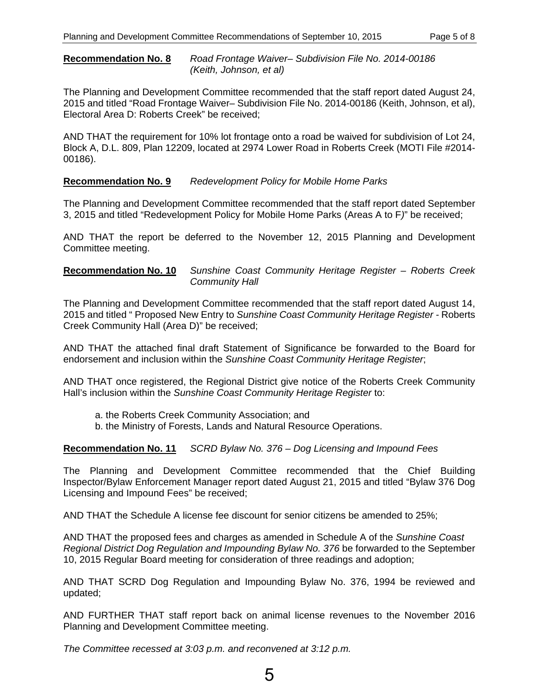#### **Recommendation No. 8** *Road Frontage Waiver– Subdivision File No. 2014-00186 (Keith, Johnson, et al)*

The Planning and Development Committee recommended that the staff report dated August 24, 2015 and titled "Road Frontage Waiver– Subdivision File No. 2014-00186 (Keith, Johnson, et al), Electoral Area D: Roberts Creek" be received;

AND THAT the requirement for 10% lot frontage onto a road be waived for subdivision of Lot 24, Block A, D.L. 809, Plan 12209, located at 2974 Lower Road in Roberts Creek (MOTI File #2014- 00186).

#### **Recommendation No. 9** *Redevelopment Policy for Mobile Home Parks*

The Planning and Development Committee recommended that the staff report dated September 3, 2015 and titled "Redevelopment Policy for Mobile Home Parks (Areas A to F*)*" be received;

AND THAT the report be deferred to the November 12, 2015 Planning and Development Committee meeting.

**Recommendation No. 10** *Sunshine Coast Community Heritage Register – Roberts Creek Community Hall*

The Planning and Development Committee recommended that the staff report dated August 14, 2015 and titled " Proposed New Entry to *Sunshine Coast Community Heritage Register -* Roberts Creek Community Hall (Area D)" be received;

AND THAT the attached final draft Statement of Significance be forwarded to the Board for endorsement and inclusion within the *Sunshine Coast Community Heritage Register*;

AND THAT once registered, the Regional District give notice of the Roberts Creek Community Hall's inclusion within the *Sunshine Coast Community Heritage Register* to:

- a. the Roberts Creek Community Association; and
- b. the Ministry of Forests, Lands and Natural Resource Operations.

#### **Recommendation No. 11** *SCRD Bylaw No. 376 – Dog Licensing and Impound Fees*

The Planning and Development Committee recommended that the Chief Building Inspector/Bylaw Enforcement Manager report dated August 21, 2015 and titled "Bylaw 376 Dog Licensing and Impound Fees" be received;

AND THAT the Schedule A license fee discount for senior citizens be amended to 25%;

AND THAT the proposed fees and charges as amended in Schedule A of the *Sunshine Coast Regional District Dog Regulation and Impounding Bylaw No. 376 be forwarded to the September* 10, 2015 Regular Board meeting for consideration of three readings and adoption;

AND THAT SCRD Dog Regulation and Impounding Bylaw No. 376, 1994 be reviewed and updated;

AND FURTHER THAT staff report back on animal license revenues to the November 2016 Planning and Development Committee meeting.

*The Committee recessed at 3:03 p.m. and reconvened at 3:12 p.m.*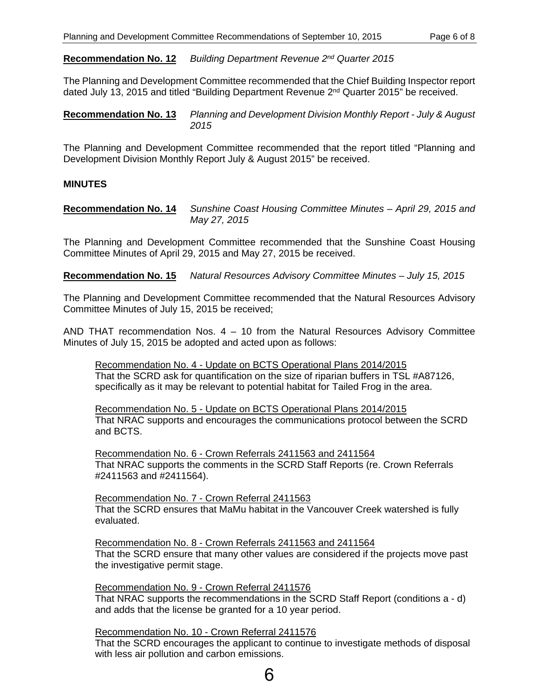**Recommendation No. 12** *Building Department Revenue 2nd Quarter 2015* 

The Planning and Development Committee recommended that the Chief Building Inspector report dated July 13, 2015 and titled "Building Department Revenue 2nd Quarter 2015" be received.

**Recommendation No. 13** *Planning and Development Division Monthly Report - July & August 2015* 

The Planning and Development Committee recommended that the report titled "Planning and Development Division Monthly Report July & August 2015" be received.

#### **MINUTES**

**Recommendation No. 14** *Sunshine Coast Housing Committee Minutes – April 29, 2015 and May 27, 2015* 

The Planning and Development Committee recommended that the Sunshine Coast Housing Committee Minutes of April 29, 2015 and May 27, 2015 be received.

**Recommendation No. 15** *Natural Resources Advisory Committee Minutes – July 15, 2015* 

The Planning and Development Committee recommended that the Natural Resources Advisory Committee Minutes of July 15, 2015 be received;

AND THAT recommendation Nos.  $4 - 10$  from the Natural Resources Advisory Committee Minutes of July 15, 2015 be adopted and acted upon as follows:

Recommendation No. 4 - Update on BCTS Operational Plans 2014/2015 That the SCRD ask for quantification on the size of riparian buffers in TSL #A87126, specifically as it may be relevant to potential habitat for Tailed Frog in the area.

Recommendation No. 5 - Update on BCTS Operational Plans 2014/2015 That NRAC supports and encourages the communications protocol between the SCRD and BCTS.

Recommendation No. 6 - Crown Referrals 2411563 and 2411564 That NRAC supports the comments in the SCRD Staff Reports (re. Crown Referrals #2411563 and #2411564).

Recommendation No. 7 - Crown Referral 2411563 That the SCRD ensures that MaMu habitat in the Vancouver Creek watershed is fully evaluated.

Recommendation No. 8 - Crown Referrals 2411563 and 2411564 That the SCRD ensure that many other values are considered if the projects move past the investigative permit stage.

Recommendation No. 9 - Crown Referral 2411576 That NRAC supports the recommendations in the SCRD Staff Report (conditions a - d) and adds that the license be granted for a 10 year period.

Recommendation No. 10 - Crown Referral 2411576 That the SCRD encourages the applicant to continue to investigate methods of disposal with less air pollution and carbon emissions.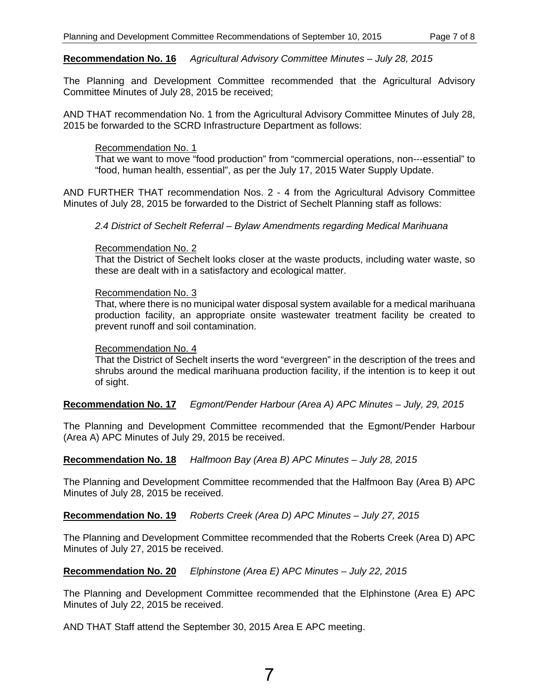#### **Recommendation No. 16** *Agricultural Advisory Committee Minutes – July 28, 2015*

The Planning and Development Committee recommended that the Agricultural Advisory Committee Minutes of July 28, 2015 be received;

AND THAT recommendation No. 1 from the Agricultural Advisory Committee Minutes of July 28, 2015 be forwarded to the SCRD Infrastructure Department as follows:

#### Recommendation No. 1

That we want to move "food production" from "commercial operations, non--‐essential" to "food, human health, essential", as per the July 17, 2015 Water Supply Update.

AND FURTHER THAT recommendation Nos. 2 - 4 from the Agricultural Advisory Committee Minutes of July 28, 2015 be forwarded to the District of Sechelt Planning staff as follows:

*2.4 District of Sechelt Referral – Bylaw Amendments regarding Medical Marihuana* 

#### Recommendation No. 2

That the District of Sechelt looks closer at the waste products, including water waste, so these are dealt with in a satisfactory and ecological matter.

#### Recommendation No. 3

That, where there is no municipal water disposal system available for a medical marihuana production facility, an appropriate onsite wastewater treatment facility be created to prevent runoff and soil contamination.

#### Recommendation No. 4

That the District of Sechelt inserts the word "evergreen" in the description of the trees and shrubs around the medical marihuana production facility, if the intention is to keep it out of sight.

#### **Recommendation No. 17** *Egmont/Pender Harbour (Area A) APC Minutes – July, 29, 2015*

The Planning and Development Committee recommended that the Egmont/Pender Harbour (Area A) APC Minutes of July 29, 2015 be received.

**Recommendation No. 18** *Halfmoon Bay (Area B) APC Minutes – July 28, 2015* 

The Planning and Development Committee recommended that the Halfmoon Bay (Area B) APC Minutes of July 28, 2015 be received.

**Recommendation No. 19** *Roberts Creek (Area D) APC Minutes – July 27, 2015* 

The Planning and Development Committee recommended that the Roberts Creek (Area D) APC Minutes of July 27, 2015 be received.

**Recommendation No. 20** *Elphinstone (Area E) APC Minutes – July 22, 2015* 

The Planning and Development Committee recommended that the Elphinstone (Area E) APC Minutes of July 22, 2015 be received.

AND THAT Staff attend the September 30, 2015 Area E APC meeting.